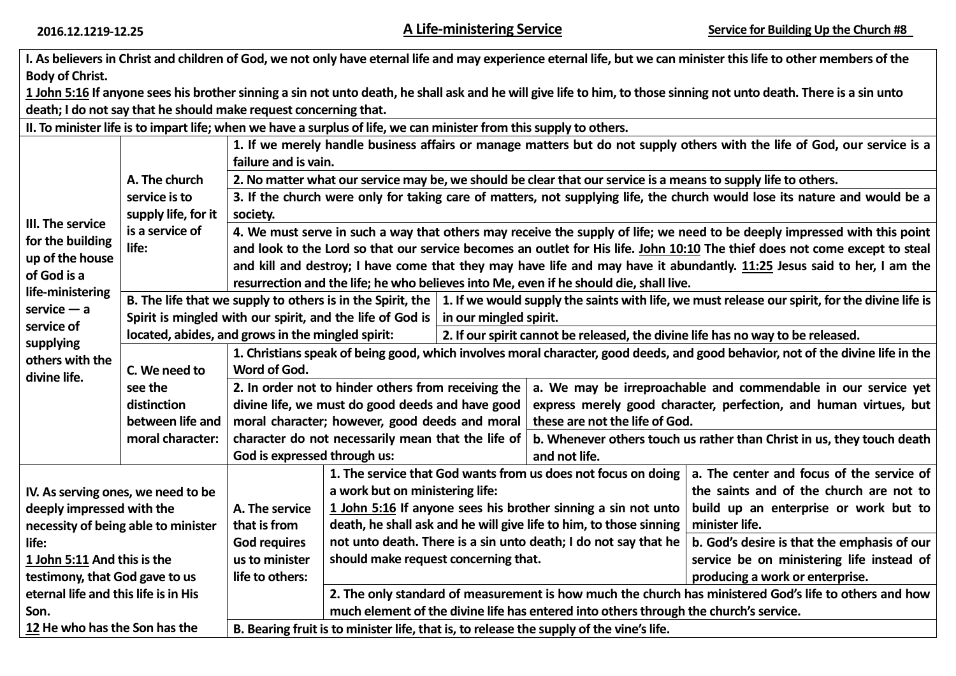|                                                                                                                                                                            |                                                                  |                                                                                                                                 |                                                                                                                                                                                                 |                                                                                                                                                                   |                                                               | I. As believers in Christ and children of God, we not only have eternal life and may experience eternal life, but we can minister this life to other members of the  |  |  |
|----------------------------------------------------------------------------------------------------------------------------------------------------------------------------|------------------------------------------------------------------|---------------------------------------------------------------------------------------------------------------------------------|-------------------------------------------------------------------------------------------------------------------------------------------------------------------------------------------------|-------------------------------------------------------------------------------------------------------------------------------------------------------------------|---------------------------------------------------------------|----------------------------------------------------------------------------------------------------------------------------------------------------------------------|--|--|
| <b>Body of Christ.</b>                                                                                                                                                     |                                                                  |                                                                                                                                 |                                                                                                                                                                                                 |                                                                                                                                                                   |                                                               |                                                                                                                                                                      |  |  |
|                                                                                                                                                                            |                                                                  |                                                                                                                                 |                                                                                                                                                                                                 |                                                                                                                                                                   |                                                               | 1 John 5:16 If anyone sees his brother sinning a sin not unto death, he shall ask and he will give life to him, to those sinning not unto death. There is a sin unto |  |  |
|                                                                                                                                                                            | death; I do not say that he should make request concerning that. |                                                                                                                                 |                                                                                                                                                                                                 |                                                                                                                                                                   |                                                               |                                                                                                                                                                      |  |  |
|                                                                                                                                                                            |                                                                  |                                                                                                                                 | II. To minister life is to impart life; when we have a surplus of life, we can minister from this supply to others.                                                                             |                                                                                                                                                                   |                                                               |                                                                                                                                                                      |  |  |
| III. The service<br>for the building<br>up of the house<br>of God is a<br>life-ministering<br>$s$ ervice — a<br>service of<br>supplying<br>others with the<br>divine life. |                                                                  | 1. If we merely handle business affairs or manage matters but do not supply others with the life of God, our service is a       |                                                                                                                                                                                                 |                                                                                                                                                                   |                                                               |                                                                                                                                                                      |  |  |
|                                                                                                                                                                            |                                                                  | failure and is vain.                                                                                                            |                                                                                                                                                                                                 |                                                                                                                                                                   |                                                               |                                                                                                                                                                      |  |  |
|                                                                                                                                                                            | A. The church                                                    | 2. No matter what our service may be, we should be clear that our service is a means to supply life to others.                  |                                                                                                                                                                                                 |                                                                                                                                                                   |                                                               |                                                                                                                                                                      |  |  |
|                                                                                                                                                                            | service is to                                                    | 3. If the church were only for taking care of matters, not supplying life, the church would lose its nature and would be a      |                                                                                                                                                                                                 |                                                                                                                                                                   |                                                               |                                                                                                                                                                      |  |  |
|                                                                                                                                                                            | supply life, for it                                              | society.                                                                                                                        |                                                                                                                                                                                                 |                                                                                                                                                                   |                                                               |                                                                                                                                                                      |  |  |
|                                                                                                                                                                            | is a service of                                                  | 4. We must serve in such a way that others may receive the supply of life; we need to be deeply impressed with this point       |                                                                                                                                                                                                 |                                                                                                                                                                   |                                                               |                                                                                                                                                                      |  |  |
|                                                                                                                                                                            | life:                                                            | and look to the Lord so that our service becomes an outlet for His life. John 10:10 The thief does not come except to steal     |                                                                                                                                                                                                 |                                                                                                                                                                   |                                                               |                                                                                                                                                                      |  |  |
|                                                                                                                                                                            |                                                                  | and kill and destroy; I have come that they may have life and may have it abundantly. 11:25 Jesus said to her, I am the         |                                                                                                                                                                                                 |                                                                                                                                                                   |                                                               |                                                                                                                                                                      |  |  |
|                                                                                                                                                                            |                                                                  | resurrection and the life; he who believes into Me, even if he should die, shall live.                                          |                                                                                                                                                                                                 |                                                                                                                                                                   |                                                               |                                                                                                                                                                      |  |  |
|                                                                                                                                                                            |                                                                  |                                                                                                                                 |                                                                                                                                                                                                 | B. The life that we supply to others is in the Spirit, the $\vert$ 1. If we would supply the saints with life, we must release our spirit, for the divine life is |                                                               |                                                                                                                                                                      |  |  |
|                                                                                                                                                                            |                                                                  |                                                                                                                                 |                                                                                                                                                                                                 | Spirit is mingled with our spirit, and the life of God is $ $ in our mingled spirit.                                                                              |                                                               |                                                                                                                                                                      |  |  |
|                                                                                                                                                                            |                                                                  | located, abides, and grows in the mingled spirit:                                                                               |                                                                                                                                                                                                 | 2. If our spirit cannot be released, the divine life has no way to be released.                                                                                   |                                                               |                                                                                                                                                                      |  |  |
|                                                                                                                                                                            |                                                                  | 1. Christians speak of being good, which involves moral character, good deeds, and good behavior, not of the divine life in the |                                                                                                                                                                                                 |                                                                                                                                                                   |                                                               |                                                                                                                                                                      |  |  |
|                                                                                                                                                                            | C. We need to                                                    | Word of God.                                                                                                                    |                                                                                                                                                                                                 |                                                                                                                                                                   |                                                               |                                                                                                                                                                      |  |  |
|                                                                                                                                                                            | see the                                                          |                                                                                                                                 | 2. In order not to hinder others from receiving the                                                                                                                                             |                                                                                                                                                                   |                                                               | a. We may be irreproachable and commendable in our service yet                                                                                                       |  |  |
|                                                                                                                                                                            | distinction                                                      |                                                                                                                                 | divine life, we must do good deeds and have good                                                                                                                                                |                                                                                                                                                                   |                                                               | express merely good character, perfection, and human virtues, but                                                                                                    |  |  |
|                                                                                                                                                                            | between life and                                                 |                                                                                                                                 | moral character; however, good deeds and moral                                                                                                                                                  |                                                                                                                                                                   | these are not the life of God.                                |                                                                                                                                                                      |  |  |
|                                                                                                                                                                            | moral character:                                                 |                                                                                                                                 | character do not necessarily mean that the life of                                                                                                                                              |                                                                                                                                                                   |                                                               | b. Whenever others touch us rather than Christ in us, they touch death                                                                                               |  |  |
|                                                                                                                                                                            |                                                                  | God is expressed through us:                                                                                                    |                                                                                                                                                                                                 |                                                                                                                                                                   | and not life.                                                 |                                                                                                                                                                      |  |  |
|                                                                                                                                                                            |                                                                  |                                                                                                                                 |                                                                                                                                                                                                 |                                                                                                                                                                   | 1. The service that God wants from us does not focus on doing | a. The center and focus of the service of                                                                                                                            |  |  |
| IV. As serving ones, we need to be                                                                                                                                         |                                                                  |                                                                                                                                 | a work but on ministering life:                                                                                                                                                                 |                                                                                                                                                                   |                                                               | the saints and of the church are not to                                                                                                                              |  |  |
| deeply impressed with the                                                                                                                                                  |                                                                  | A. The service                                                                                                                  | 1 John 5:16 If anyone sees his brother sinning a sin not unto                                                                                                                                   |                                                                                                                                                                   |                                                               | build up an enterprise or work but to                                                                                                                                |  |  |
| necessity of being able to minister                                                                                                                                        |                                                                  | that is from                                                                                                                    | death, he shall ask and he will give life to him, to those sinning                                                                                                                              |                                                                                                                                                                   |                                                               | minister life.                                                                                                                                                       |  |  |
| life:                                                                                                                                                                      |                                                                  | <b>God requires</b>                                                                                                             | not unto death. There is a sin unto death; I do not say that he                                                                                                                                 |                                                                                                                                                                   |                                                               | b. God's desire is that the emphasis of our                                                                                                                          |  |  |
| 1 John 5:11 And this is the                                                                                                                                                |                                                                  | us to minister                                                                                                                  | should make request concerning that.<br>service be on ministering life instead of                                                                                                               |                                                                                                                                                                   |                                                               |                                                                                                                                                                      |  |  |
| testimony, that God gave to us                                                                                                                                             |                                                                  | life to others:                                                                                                                 |                                                                                                                                                                                                 |                                                                                                                                                                   |                                                               | producing a work or enterprise.                                                                                                                                      |  |  |
| eternal life and this life is in His                                                                                                                                       |                                                                  |                                                                                                                                 | 2. The only standard of measurement is how much the church has ministered God's life to others and how<br>much element of the divine life has entered into others through the church's service. |                                                                                                                                                                   |                                                               |                                                                                                                                                                      |  |  |
| Son.<br>12 He who has the Son has the                                                                                                                                      |                                                                  |                                                                                                                                 |                                                                                                                                                                                                 |                                                                                                                                                                   |                                                               |                                                                                                                                                                      |  |  |
|                                                                                                                                                                            |                                                                  | B. Bearing fruit is to minister life, that is, to release the supply of the vine's life.                                        |                                                                                                                                                                                                 |                                                                                                                                                                   |                                                               |                                                                                                                                                                      |  |  |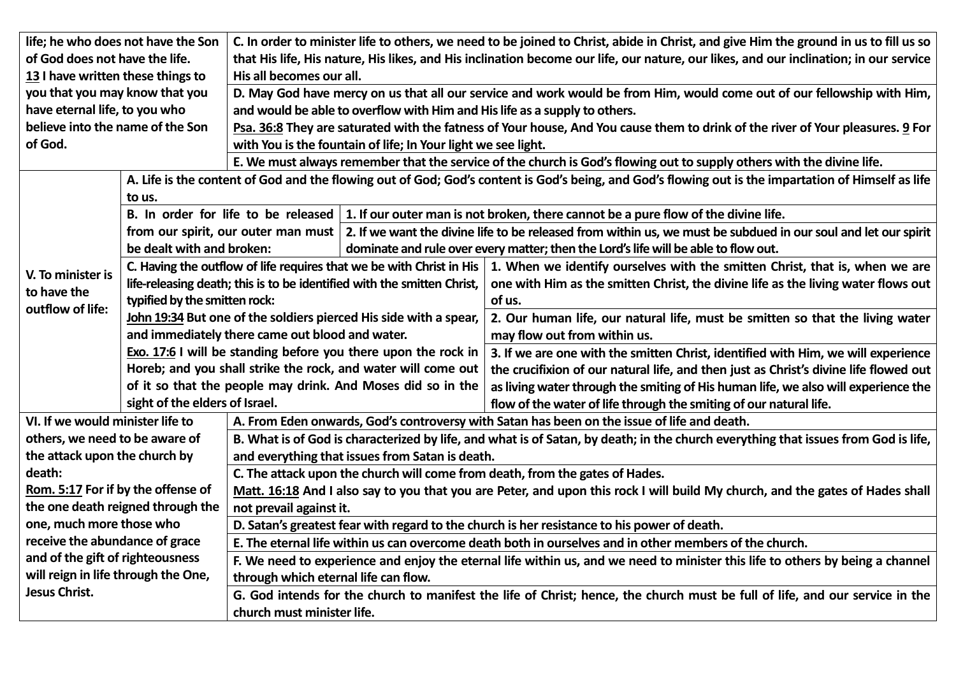| life; he who does not have the Son  |                                                                         | C. In order to minister life to others, we need to be joined to Christ, abide in Christ, and give Him the ground in us to fill us so                |                                                                   |                                                                                                                                |  |  |  |
|-------------------------------------|-------------------------------------------------------------------------|-----------------------------------------------------------------------------------------------------------------------------------------------------|-------------------------------------------------------------------|--------------------------------------------------------------------------------------------------------------------------------|--|--|--|
| of God does not have the life.      |                                                                         | that His life, His nature, His likes, and His inclination become our life, our nature, our likes, and our inclination; in our service               |                                                                   |                                                                                                                                |  |  |  |
| 13 I have written these things to   |                                                                         | His all becomes our all.                                                                                                                            |                                                                   |                                                                                                                                |  |  |  |
| you that you may know that you      |                                                                         | D. May God have mercy on us that all our service and work would be from Him, would come out of our fellowship with Him,                             |                                                                   |                                                                                                                                |  |  |  |
| have eternal life, to you who       |                                                                         | and would be able to overflow with Him and His life as a supply to others.                                                                          |                                                                   |                                                                                                                                |  |  |  |
| believe into the name of the Son    |                                                                         | Psa. 36:8 They are saturated with the fatness of Your house, And You cause them to drink of the river of Your pleasures. 9 For                      |                                                                   |                                                                                                                                |  |  |  |
| of God.                             |                                                                         | with You is the fountain of life; In Your light we see light.                                                                                       |                                                                   |                                                                                                                                |  |  |  |
|                                     |                                                                         | E. We must always remember that the service of the church is God's flowing out to supply others with the divine life.                               |                                                                   |                                                                                                                                |  |  |  |
|                                     |                                                                         | A. Life is the content of God and the flowing out of God; God's content is God's being, and God's flowing out is the impartation of Himself as life |                                                                   |                                                                                                                                |  |  |  |
|                                     | to us.                                                                  |                                                                                                                                                     |                                                                   |                                                                                                                                |  |  |  |
|                                     |                                                                         |                                                                                                                                                     |                                                                   | B. In order for life to be released $\vert$ 1. If our outer man is not broken, there cannot be a pure flow of the divine life. |  |  |  |
|                                     |                                                                         | from our spirit, our outer man must                                                                                                                 |                                                                   | 2. If we want the divine life to be released from within us, we must be subdued in our soul and let our spirit                 |  |  |  |
|                                     | be dealt with and broken:                                               |                                                                                                                                                     |                                                                   | dominate and rule over every matter; then the Lord's life will be able to flow out.                                            |  |  |  |
|                                     |                                                                         | C. Having the outflow of life requires that we be with Christ in His                                                                                |                                                                   | 1. When we identify ourselves with the smitten Christ, that is, when we are                                                    |  |  |  |
| V. To minister is                   | life-releasing death; this is to be identified with the smitten Christ, |                                                                                                                                                     |                                                                   | one with Him as the smitten Christ, the divine life as the living water flows out                                              |  |  |  |
| to have the                         | typified by the smitten rock:                                           |                                                                                                                                                     |                                                                   | of us.                                                                                                                         |  |  |  |
| outflow of life:                    |                                                                         |                                                                                                                                                     | John 19:34 But one of the soldiers pierced His side with a spear, | 2. Our human life, our natural life, must be smitten so that the living water                                                  |  |  |  |
|                                     |                                                                         | and immediately there came out blood and water.                                                                                                     |                                                                   | may flow out from within us.                                                                                                   |  |  |  |
|                                     |                                                                         |                                                                                                                                                     | Exo. 17:6 I will be standing before you there upon the rock in    | 3. If we are one with the smitten Christ, identified with Him, we will experience                                              |  |  |  |
|                                     |                                                                         |                                                                                                                                                     | Horeb; and you shall strike the rock, and water will come out     | the crucifixion of our natural life, and then just as Christ's divine life flowed out                                          |  |  |  |
|                                     |                                                                         |                                                                                                                                                     | of it so that the people may drink. And Moses did so in the       | as living water through the smiting of His human life, we also will experience the                                             |  |  |  |
|                                     | sight of the elders of Israel.                                          |                                                                                                                                                     |                                                                   | flow of the water of life through the smiting of our natural life.                                                             |  |  |  |
| VI. If we would minister life to    |                                                                         | A. From Eden onwards, God's controversy with Satan has been on the issue of life and death.                                                         |                                                                   |                                                                                                                                |  |  |  |
| others, we need to be aware of      |                                                                         | B. What is of God is characterized by life, and what is of Satan, by death; in the church everything that issues from God is life,                  |                                                                   |                                                                                                                                |  |  |  |
| the attack upon the church by       |                                                                         | and everything that issues from Satan is death.                                                                                                     |                                                                   |                                                                                                                                |  |  |  |
| death:                              |                                                                         | C. The attack upon the church will come from death, from the gates of Hades.                                                                        |                                                                   |                                                                                                                                |  |  |  |
| Rom. 5:17 For if by the offense of  |                                                                         | Matt. 16:18 And I also say to you that you are Peter, and upon this rock I will build My church, and the gates of Hades shall                       |                                                                   |                                                                                                                                |  |  |  |
| the one death reigned through the   |                                                                         | not prevail against it.                                                                                                                             |                                                                   |                                                                                                                                |  |  |  |
| one, much more those who            |                                                                         | D. Satan's greatest fear with regard to the church is her resistance to his power of death.                                                         |                                                                   |                                                                                                                                |  |  |  |
| receive the abundance of grace      |                                                                         | E. The eternal life within us can overcome death both in ourselves and in other members of the church.                                              |                                                                   |                                                                                                                                |  |  |  |
| and of the gift of righteousness    |                                                                         | F. We need to experience and enjoy the eternal life within us, and we need to minister this life to others by being a channel                       |                                                                   |                                                                                                                                |  |  |  |
| will reign in life through the One, |                                                                         | through which eternal life can flow.                                                                                                                |                                                                   |                                                                                                                                |  |  |  |
| <b>Jesus Christ.</b>                |                                                                         | G. God intends for the church to manifest the life of Christ; hence, the church must be full of life, and our service in the                        |                                                                   |                                                                                                                                |  |  |  |
|                                     |                                                                         |                                                                                                                                                     |                                                                   |                                                                                                                                |  |  |  |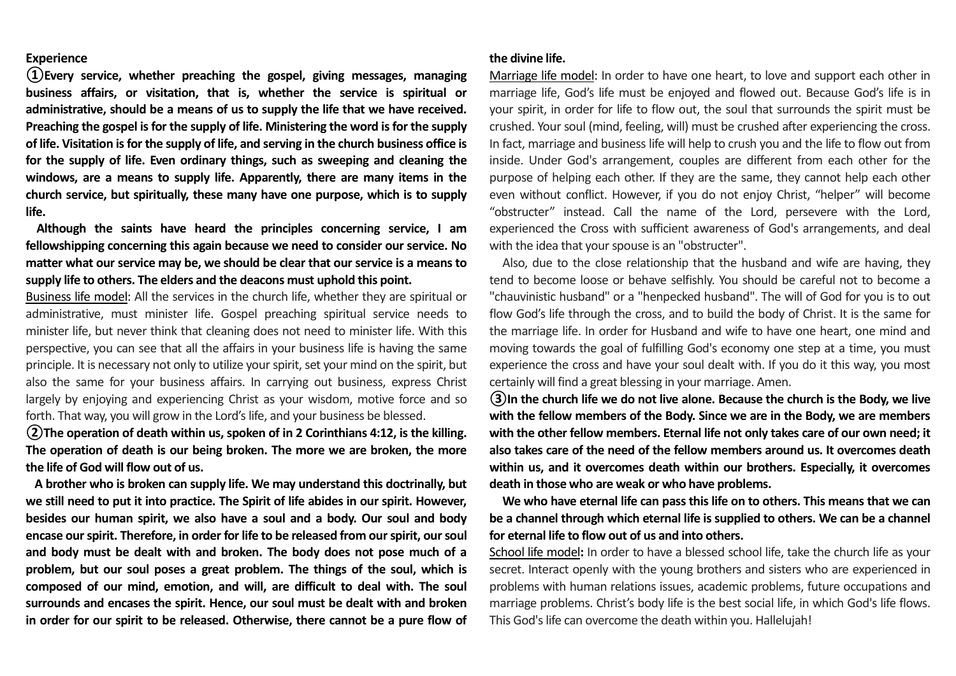## **Experience**

**①Every service, whether preaching the gospel, giving messages, managing business affairs, or visitation, that is, whether the service is spiritual or administrative, should be a means of us to supply the life that we have received. Preaching the gospel is for the supply of life. Ministering the word is for the supply of life. Visitation is for the supply of life, and serving in the church business office is for the supply of life. Even ordinary things, such as sweeping and cleaning the windows, are a means to supply life. Apparently, there are many items in the church service, but spiritually, these many have one purpose, which is to supply life.**

 **Although the saints have heard the principles concerning service, I am fellowshipping concerning this again because we need to consider our service. No matter what our service may be, we should be clear that our service is a means to supply life to others. The elders and the deacons must uphold this point.** 

Business life model: All the services in the church life, whether they are spiritual or administrative, must minister life. Gospel preaching spiritual service needs to minister life, but never think that cleaning does not need to minister life. With this perspective, you can see that all the affairs in your business life is having the same principle. It is necessary not only to utilize yourspirit, set your mind on the spirit, but also the same for your business affairs. In carrying out business, express Christ largely by enjoying and experiencing Christ as your wisdom, motive force and so forth. That way, you will grow in the Lord's life, and your business be blessed.

**②The operation of death within us, spoken of in 2 Corinthians 4:12, is the killing. The operation of death is our being broken. The more we are broken, the more the life of God will flow out of us.**

 **A brother who is broken can supply life. We may understand this doctrinally, but we still need to put it into practice. The Spirit of life abides in our spirit. However, besides our human spirit, we also have a soul and a body. Our soul and body encase ourspirit. Therefore, in order for life to be released from our spirit, our soul and body must be dealt with and broken. The body does not pose much of a problem, but our soul poses a great problem. The things of the soul, which is composed of our mind, emotion, and will, are difficult to deal with. The soul surrounds and encases the spirit. Hence, our soul must be dealt with and broken in order for our spirit to be released. Otherwise, there cannot be a pure flow of** 

## **the divine life.**

Marriage life model: In order to have one heart, to love and support each other in marriage life, God's life must be enjoyed and flowed out. Because God's life is in your spirit, in order for life to flow out, the soul that surrounds the spirit must be crushed. Your soul (mind, feeling, will) must be crushed after experiencing the cross. In fact, marriage and business life will help to crush you and the life to flow out from inside. Under God's arrangement, couples are different from each other for the purpose of helping each other. If they are the same, they cannot help each other even without conflict. However, if you do not enjoy Christ, "helper" will become "obstructer" instead. Call the name of the Lord, persevere with the Lord, experienced the Cross with sufficient awareness of God's arrangements, and deal with the idea that your spouse is an "obstructer".

 Also, due to the close relationship that the husband and wife are having, they tend to become loose or behave selfishly. You should be careful not to become a "chauvinistic husband" or a "henpecked husband". The will of God for you is to out flow God's life through the cross, and to build the body of Christ. It is the same for the marriage life. In order for Husband and wife to have one heart, one mind and moving towards the goal of fulfilling God's economy one step at a time, you must experience the cross and have your soul dealt with. If you do it this way, you most certainly will find a great blessing in your marriage. Amen.

**③In the church life we do not live alone. Because the church is the Body, we live with the fellow members of the Body. Since we are in the Body, we are members with the other fellow members. Eternal life not only takes care of our own need; it also takes care of the need of the fellow members around us. It overcomes death within us, and it overcomes death within our brothers. Especially, it overcomes death in those who are weak or who have problems.**

**We who have eternal life can pass this life on to others. This means that we can be a channel through which eternal life is supplied to others. We can be a channel for eternal life to flow out of us and into others.**

School life model**:** In order to have a blessed school life, take the church life as your secret. Interact openly with the young brothers and sisters who are experienced in problems with human relations issues, academic problems, future occupations and marriage problems. Christ's body life is the best social life, in which God's life flows. This God's life can overcome the death within you. Hallelujah!